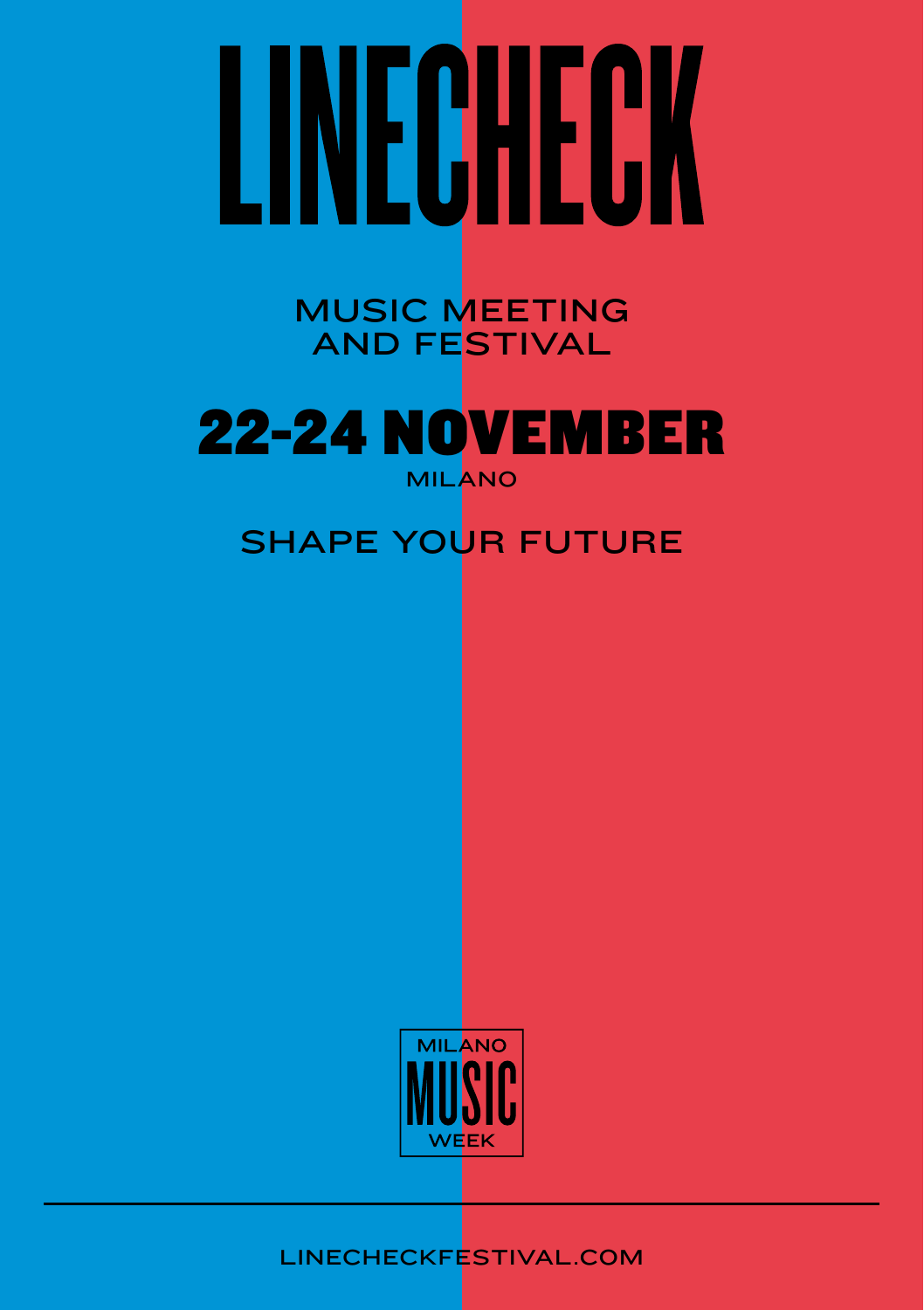# LINECHECK

MUSIC MEETING AND FESTIVAL



## SHAPE YOUR FUTURE



LINECHECKFESTIVAL.COM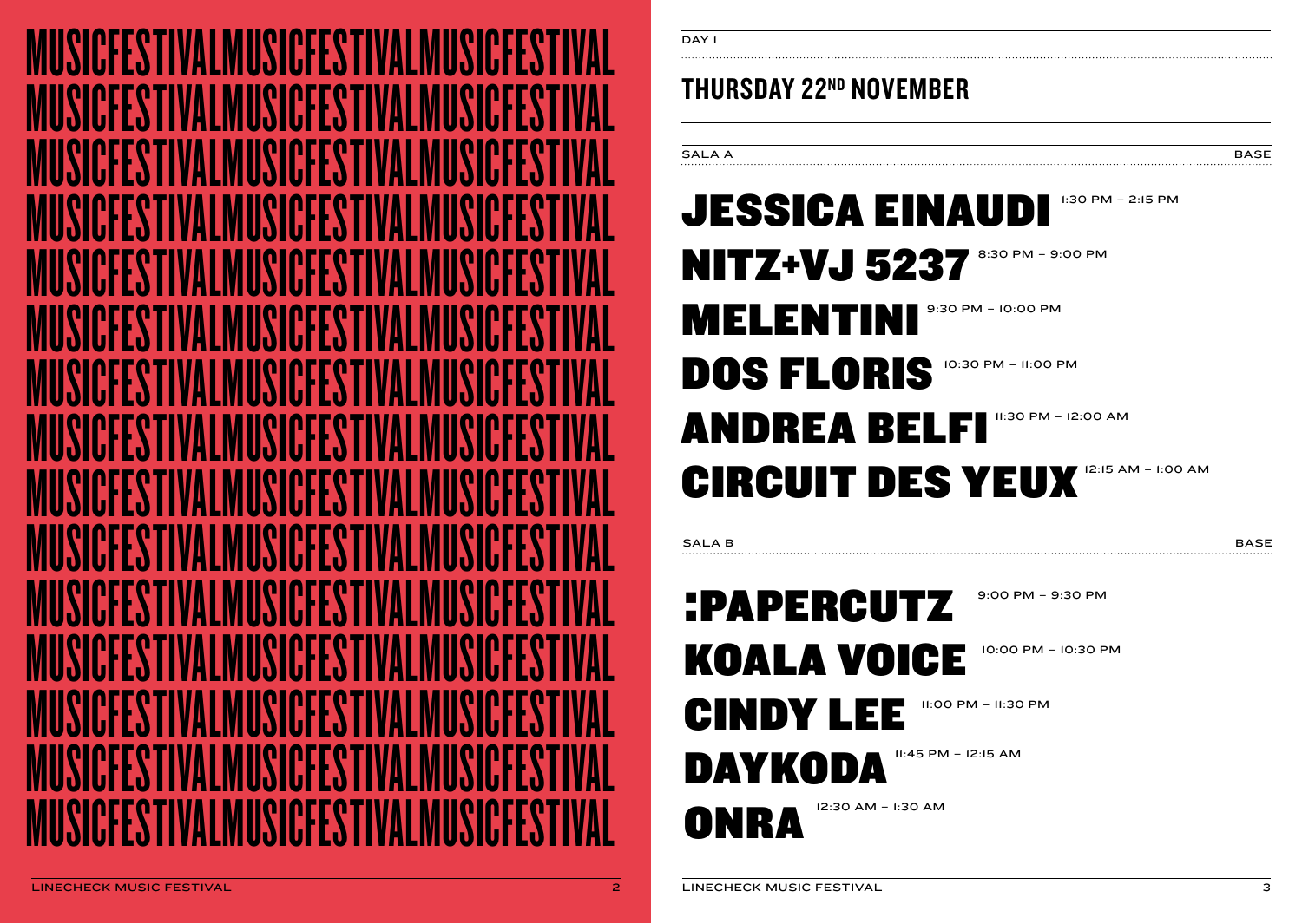

## THURSDAY 22ND NOVEMBER

| SALA A | <b>BASE</b> |
|--------|-------------|
|        |             |
|        |             |

# JESSICA EINAUDI **NITZ+VJ 5237** 8:30 PM - 9:00 PM MELENTINI<sup>9:30 PM</sup> - 10:00 PM DOS FLORIS 10:30 PM – 11:00 PM ANDREA BELFI "CO AM ANDREA BELFI CIRCUIT DES YEUX 12:15 AM - I:00 AM 1:30 PM – 2:15 PM

SALA B BASE BASE AND A BASE AND A BASE AND A BASE AND A BASE AND A BASE AND A BASE AND A BASE

### :PAPERCUTZ KOALA VOICE CINDY LEE DAYKODA ONRA 9:00 PM – 9:30 PM 10:00 PM – 10:30 PM 11:00 PM – 11:30 PM 11:45 PM – 12:15 AM 12:30 AM – 1:30 AM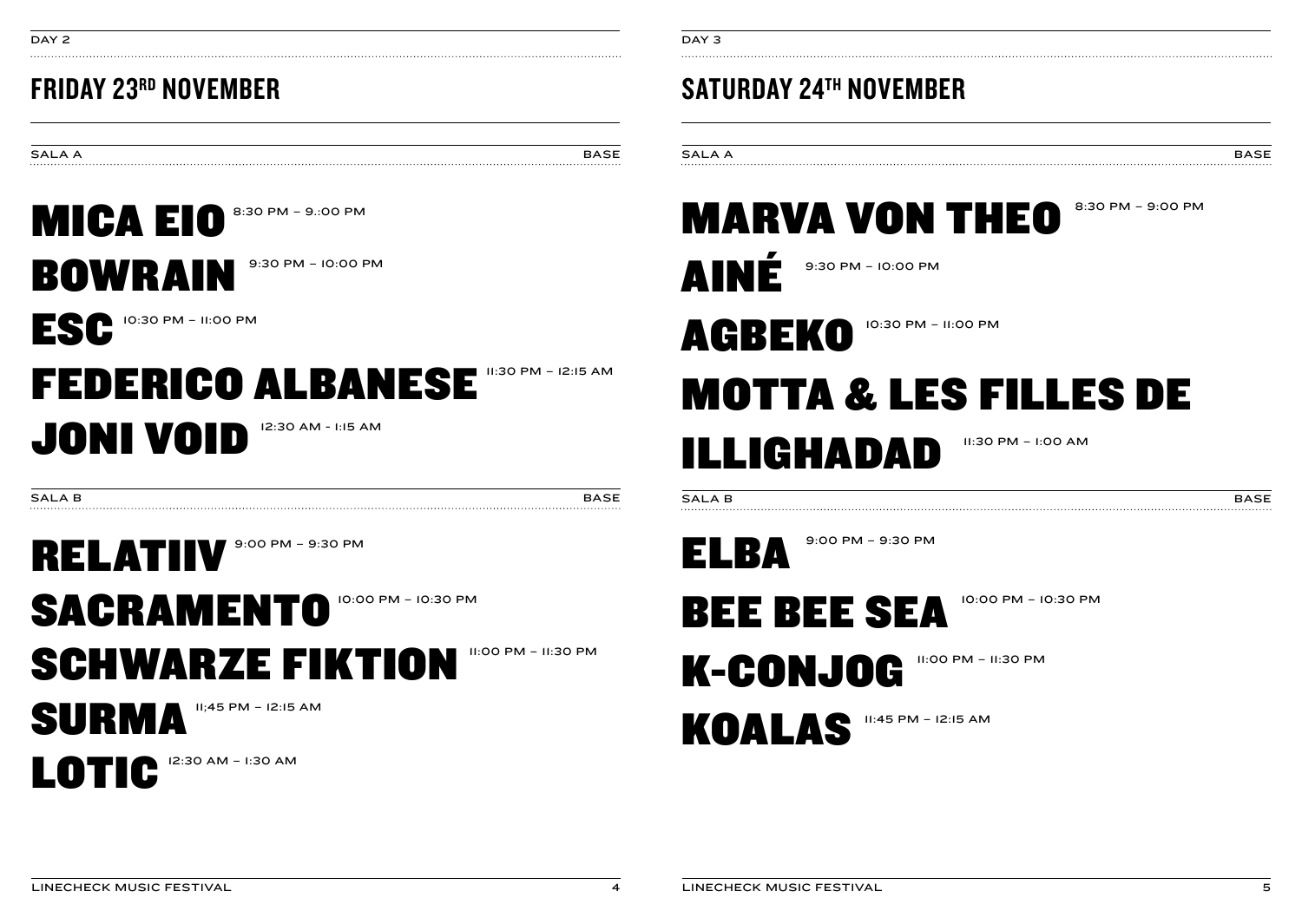LOTIC 12:30 AM – 1:30 AM

SURMA 11;45 PM – 12:15 AM

SACRAMENTO SCHWARZE FIKTION 11:00 PM – 11:30 PM

10:00 PM – 10:30 PM

RELATIIV 9:00 PM – 9:30 PM

SALA B BASE IS A BASE IS A BASE IS A BASE IS A BASE IS A BASE IS A BASE IS A BASE IS A BASE

11:30 PM – 12:15 AM

FEDERICO ALBANESE JONI VOID 12:30 AM - 1:15 AM

ESC 10:30 PM – 11:00 PM

BOWRAIN 9:30 PM – 10:00 PM

MICA EIO<sup>8:30 PM</sup> - 9:00 PM

SALA A BASE

DAY 2

# FRIDAY 23RD NOVEMBER

SATURDAY 24TH NOVEMBER

# SALA A BASE

9:30 PM – 10:00 PM

9:00 PM – 9:30 PM

## MARVA VON THEO 8:30 PM – 9:00 PM

11:30 PM – 1:00 AM

10:00 PM – 10:30 PM

11:00 PM – 11:30 PM

SALA B BASE EXPLORER THAT IS A REPORT OF THE BASE OF THE BASE IS A REPORT OF THE BASE OF THE BASE OF THE BASE

11:45 PM – 12:15 AM

MOTTA & LES FILLES DE

10:30 PM – 11:00 PM

AINÉ

ELBA

AGBEKO

ILLIGHADAD

BEE BEE SEA

K-CONJOG

KOALAS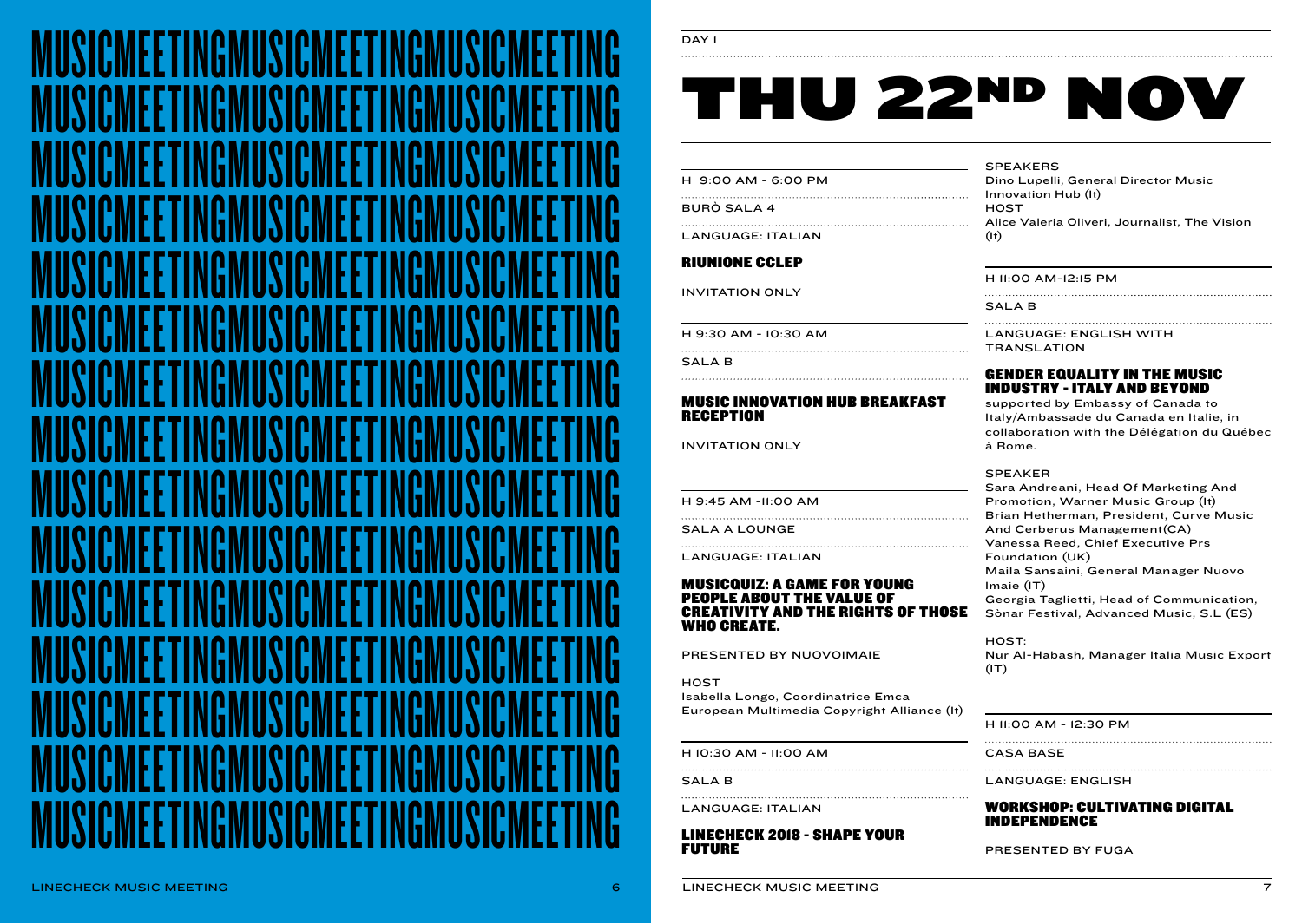

#### DAY I

# THU 22ND NOV

| H 9:00 AM - 6:00 PM |  |  |
|---------------------|--|--|
|                     |  |  |

BURÒ SALA 4

LANGUAGE: ITALIAN

#### RIUNIONE CCLEP

INVITATION ONLY

H 9:30 AM - 10:30 AM

SALA B

#### 

#### MUSIC INNOVATION HUB BREAKFAST RECEPTION

INVITATION ONLY

H 9:45 AM -11:00 AM

SALA A LOUNGE 

LANGUAGE: ITALIAN

#### MUSICQUIZ: A GAME FOR YOUNG PEOPLE ABOUT THE VALUE OF CREATIVITY AND THE RIGHTS OF THOSE WHO CREATE.

PRESENTED BY NUOVOIMAIE

**HOST** Isabella Longo, Coordinatrice Emca European Multimedia Copyright Alliance (It)

H 10:30 AM - 11:00 AM

SALA B

LANGUAGE: ITALIAN

LINECHECK 2018 - SHAPE YOUR FUTURE

#### SPEAKERS

Dino Lupelli, General Director Music Innovation Hub (It) **HOST** Alice Valeria Oliveri, Journalist, The Vision (It)

#### H 11:00 AM-12:15 PM

SALA B

LANGUAGE: ENGLISH WITH **TRANSLATION** 

#### GENDER EQUALITY IN THE MUSIC INDUSTRY - ITALY AND BEYOND

supported by Embassy of Canada to Italy/Ambassade du Canada en Italie, in collaboration with the Délégation du Québec à Rome.

#### SPEAKER

Sara Andreani, Head Of Marketing And Promotion, Warner Music Group (It) Brian Hetherman, President, Curve Music And Cerberus Management(CA) Vanessa Reed, Chief Executive Prs Foundation (UK) Maila Sansaini, General Manager Nuovo Imaie (IT) Georgia Taglietti, Head of Communication, Sònar Festival, Advanced Music, S.L (ES)

HOST: Nur Al-Habash, Manager Italia Music Export  $(1T)$ 

#### H 11:00 AM - 12:30 PM

CASA BASE

#### LANGUAGE: ENGLISH

#### WORKSHOP: CULTIVATING DIGITAL INDEPENDENCE

PRESENTED BY FUGA

 $\epsilon$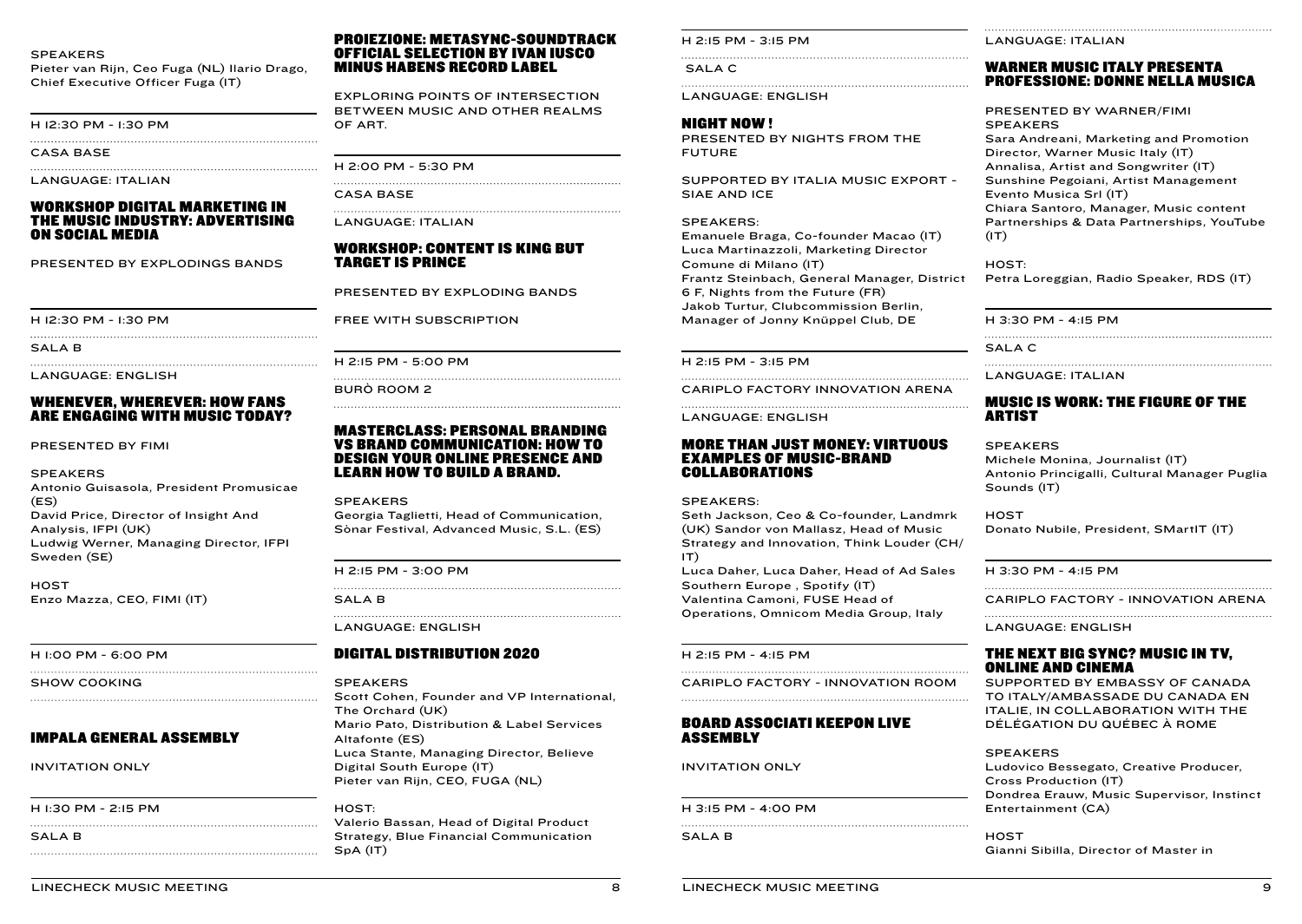#### **SPEAKERS**

Pieter van Rijn, Ceo Fuga (NL) Ilario Drago, Chief Executive Officer Fuga (IT)

H 12:30 PM - 1:30 PM

CASA BASE

LANGUAGE: ITALIAN

#### WORKSHOP DIGITAL MARKETING IN THE MUSIC INDUSTRY: ADVERTISING ON SOCIAL MEDIA

PRESENTED BY EXPLODINGS BANDS

H 12:30 PM - 1:30 PM

SALA B

LANGUAGE: ENGLISH

#### WHENEVER, WHEREVER: HOW FANS ARE ENGAGING WITH MUSIC TODAY?

PRESENTED BY FIMI

#### SPEAKERS

Antonio Guisasola, President Promusicae (ES) David Price, Director of Insight And Analysis, IFPI (UK) Ludwig Werner, Managing Director, IFPI Sweden (SE)

**HOST** Enzo Mazza, CEO, FIMI (IT)

H 1:00 PM - 6:00 PM

SHOW COOKING

#### IMPALA GENERAL ASSEMBLY

INVITATION ONLY

#### H 1:30 PM - 2:15 PM

SALA B

#### PROIEZIONE: METASYNC-SOUNDTRACK OFFICIAL SELECTION BY IVAN IUSCO MINUS HABENS RECORD LABEL

EXPLORING POINTS OF INTERSECTION BETWEEN MUSIC AND OTHER REALMS OF ART.

H 2:00 PM - 5:30 PM

CASA BASE

LANGUAGE: ITALIAN

#### WORKSHOP: CONTENT IS KING BUT TARGET IS PRINCE

PRESENTED BY EXPLODING BANDS

FREE WITH SUBSCRIPTION

H 2:15 PM - 5:00 PM

BURÒ ROOM 2

#### MASTERCLASS: PERSONAL BRANDING VS BRAND COMMUNICATION: HOW TO DESIGN YOUR ONLINE PRESENCE AND LEARN HOW TO BUILD A BRAND.

SPEAKERS

Georgia Taglietti, Head of Communication, Sònar Festival, Advanced Music, S.L. (ES)

H 2:15 PM - 3:00 PM

SALA B

LANGUAGE: ENGLISH

#### DIGITAL DISTRIBUTION 2020

SPEAKERS

Scott Cohen, Founder and VP International, The Orchard (UK) Mario Pato, Distribution & Label Services Altafonte (ES) Luca Stante, Managing Director, Believe Digital South Europe (IT) Pieter van Rijn, CEO, FUGA (NL)

HOST: Valerio Bassan, Head of Digital Product Strategy, Blue Financial Communication SpA (IT)

H 2:15 PM - 3:15 PM

SALA C

LANGUAGE: ENGLISH

#### NIGHT NOW !

PRESENTED BY NIGHTS FROM THE FUTURE

SUPPORTED BY ITALIA MUSIC EXPORT - SIAE AND ICE

#### SPEAKERS:

Emanuele Braga, Co-founder Macao (IT) Luca Martinazzoli, Marketing Director Comune di Milano (IT) Frantz Steinbach, General Manager, District 6 F, Nights from the Future (FR) Jakob Turtur, Clubcommission Berlin, Manager of Jonny Knüppel Club, DE

H 2:15 PM - 3:15 PM

CARIPLO FACTORY INNOVATION ARENA

LANGUAGE: ENGLISH

#### MORE THAN JUST MONEY: VIRTUOUS EXAMPLES OF MUSIC-BRAND COLLABORATIONS

#### SPEAKERS:

Seth Jackson, Ceo & Co-founder, Landmrk (UK) Sandor von Mallasz, Head of Music Strategy and Innovation, Think Louder (CH/ IT) Luca Daher, Luca Daher, Head of Ad Sales Southern Europe , Spotify (IT) Valentina Camoni, FUSE Head of

Operations, Omnicom Media Group, Italy

H 2:15 PM - 4:15 PM

CARIPLO FACTORY - INNOVATION ROOM 

#### BOARD ASSOCIATI KEEPON LIVE ASSEMBLY

INVITATION ONLY

H 3:15 PM - 4:00 PM 

SALA B

LANGUAGE: ITALIAN

#### WARNER MUSIC ITALY PRESENTA PROFESSIONE: DONNE NELLA MUSICA

PRESENTED BY WARNER/FIMI SPEAKERS Sara Andreani, Marketing and Promotion Director, Warner Music Italy (IT) Annalisa, Artist and Songwriter (IT) Sunshine Pegoiani, Artist Management Evento Musica Srl (IT) Chiara Santoro, Manager, Music content Partnerships & Data Partnerships, YouTube  $(1T)$ 

HOST: Petra Loreggian, Radio Speaker, RDS (IT)

H 3:30 PM - 4:15 PM

SALA C

Sounds (IT)

LANGUAGE: ITALIAN

#### MUSIC IS WORK: THE FIGURE OF THE ARTIST

SPEAKERS Michele Monina, Journalist (IT) Antonio Princigalli, Cultural Manager Puglia

**HOST** Donato Nubile, President, SMartIT (IT)

H 3:30 PM - 4:15 PM

CARIPLO FACTORY - INNOVATION ARENA

LANGUAGE: ENGLISH

#### THE NEXT BIG SYNC? MUSIC IN TV, ONLINE AND CINEMA

SUPPORTED BY EMBASSY OF CANADA TO ITALY/AMBASSADE DU CANADA EN ITALIE, IN COLLABORATION WITH THE DÉLÉGATION DU QUÉBEC À ROME

#### SPEAKERS

Ludovico Bessegato, Creative Producer, Cross Production (IT) Dondrea Erauw, Music Supervisor, Instinct Entertainment (CA)

**HOST** Gianni Sibilla, Director of Master in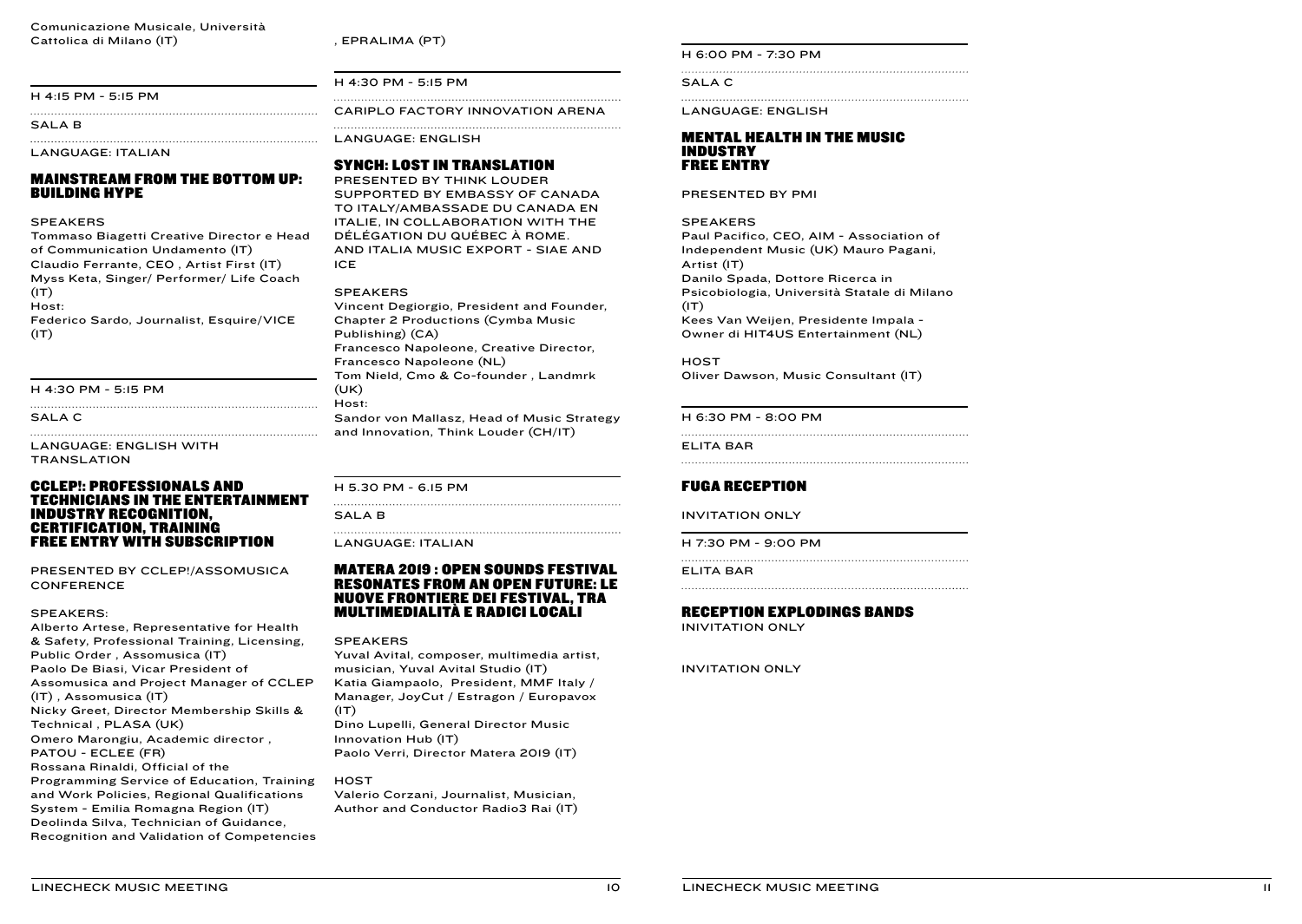, EPRALIMA (PT)

#### H 4:15 PM - 5:15 PM

SALAR

LANGUAGE: ITALIAN

#### MAINSTREAM FROM THE BOTTOM UP: BUILDING HYPE

#### SPEAKERS

Tommaso Biagetti Creative Director e Head of Communication Undamento (IT) Claudio Ferrante, CEO , Artist First (IT) Myss Keta, Singer/ Performer/ Life Coach  $(T)$ Host: Federico Sardo, Journalist, Esquire/VICE  $(1T)$ 

#### H 4:30 PM - 5:15 PM

SALA C

LANGUAGE: ENGLISH WITH **TRANSLATION** 

#### CCLEP!: PROFESSIONALS AND TECHNICIANS IN THE ENTERTAINMENT INDUSTRY RECOGNITION, CERTIFICATION, TRAINING FREE ENTRY WITH SUBSCRIPTION

PRESENTED BY CCLEP!/ASSOMUSICA CONFERENCE

#### SPEAKERS:

Alberto Artese, Representative for Health & Safety, Professional Training, Licensing, Public Order , Assomusica (IT) Paolo De Biasi, Vicar President of Assomusica and Project Manager of CCLEP (IT) , Assomusica (IT) Nicky Greet, Director Membership Skills & Technical , PLASA (UK) Omero Marongiu, Academic director , PATOU - ECLEE (FR) Rossana Rinaldi, Official of the Programming Service of Education, Training and Work Policies, Regional Qualifications System - Emilia Romagna Region (IT) Deolinda Silva, Technician of Guidance, Recognition and Validation of Competencies H 4:30 PM - 5:15 PM

CARIPLO FACTORY INNOVATION ARENA 

LANGUAGE: ENGLISH

#### SYNCH: LOST IN TRANSLATION

PRESENTED BY THINK LOUDER SUPPORTED BY EMBASSY OF CANADA TO ITALY/AMBASSADE DU CANADA EN ITALIE, IN COLLABORATION WITH THE DÉLÉGATION DU QUÉBEC À ROME. AND ITALIA MUSIC EXPORT - SIAE AND ICE

#### SPEAKERS

Vincent Degiorgio, President and Founder, Chapter 2 Productions (Cymba Music Publishing) (CA) Francesco Napoleone, Creative Director, Francesco Napoleone (NL) Tom Nield, Cmo & Co-founder , Landmrk (UK) Host:

Sandor von Mallasz, Head of Music Strategy and Innovation, Think Louder (CH/IT)

H 5.30 PM - 6.15 PM

SALA<sub>B</sub> 

LANGUAGE: ITALIAN

#### MATERA 2019 : OPEN SOUNDS FESTIVAL RESONATES FROM AN OPEN FUTURE: LE NUOVE FRONTIERE DEI FESTIVAL, TRA MULTIMEDIALITÀ E RADICI LOCALI

#### SPEAKERS

Yuval Avital, composer, multimedia artist, musician, Yuval Avital Studio (IT) Katia Giampaolo, President, MMF Italy / Manager, JoyCut / Estragon / Europavox  $(1T)$ 

Dino Lupelli, General Director Music Innovation Hub (IT) Paolo Verri, Director Matera 2019 (IT)

**HOST** Valerio Corzani, Journalist, Musician, Author and Conductor Radio3 Rai (IT) H 6:00 PM - 7:30 PM

SALA C

LANGUAGE: ENGLISH

#### MENTAL HEALTH IN THE MUSIC INDUSTRY FREE ENTRY

PRESENTED BY PMI

#### SPEAKERS

Paul Pacifico, CEO, AIM - Association of Independent Music (UK) Mauro Pagani, Artist (IT) Danilo Spada, Dottore Ricerca in Psicobiologia, Università Statale di Milano  $(IT)$ Kees Van Weijen, Presidente Impala - Owner di HIT4US Entertainment (NL)

**HOST** Oliver Dawson, Music Consultant (IT)

H 6:30 PM - 8:00 PM

ELITA BAR

#### FUGA RECEPTION

INVITATION ONLY

H 7:30 PM - 9:00 PM

ELITA BAR

#### RECEPTION EXPLODINGS BANDS

INIVITATION ONLY

INVITATION ONLY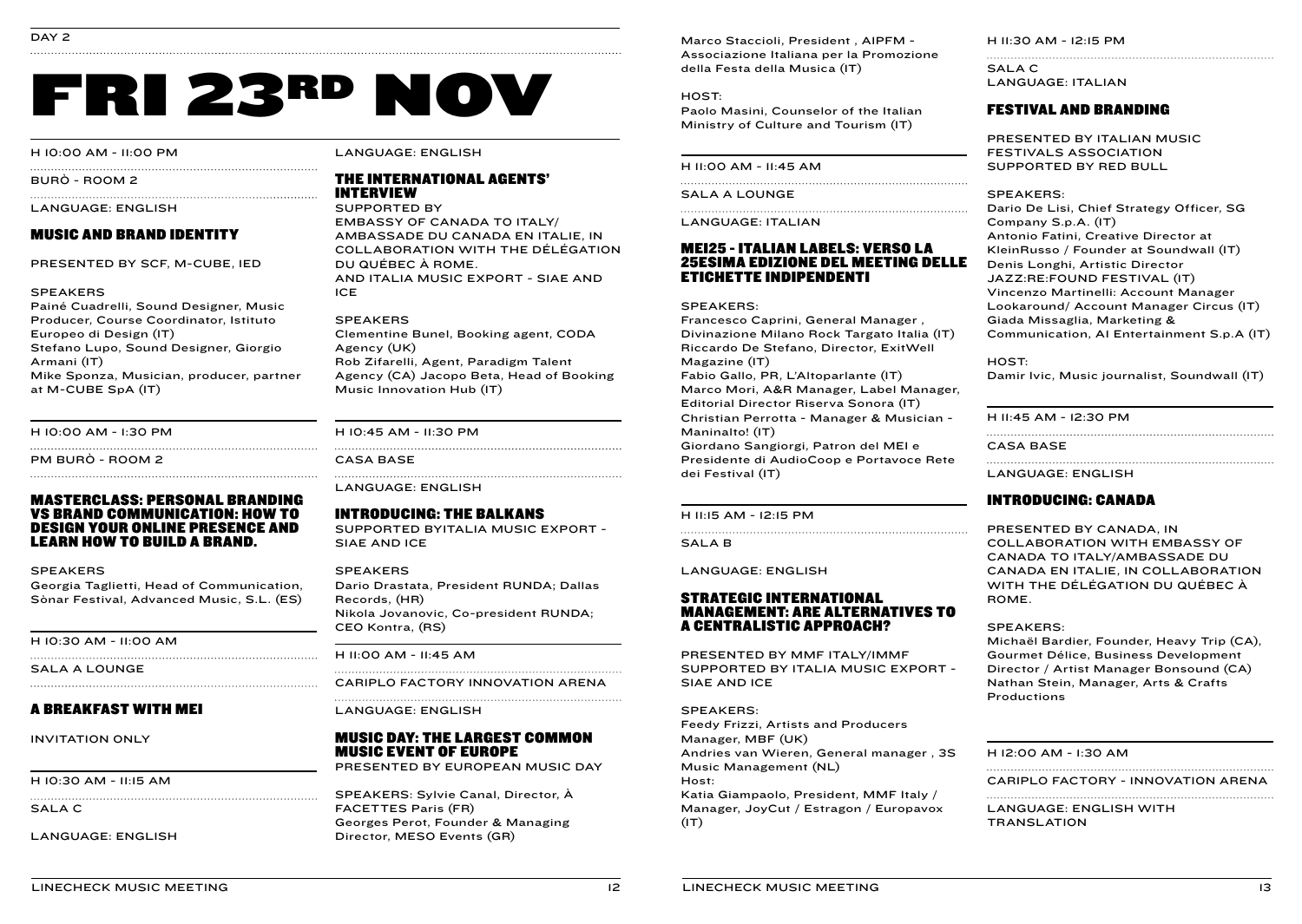# FRI 23RD NOV

#### H 10:00 AM - 11:00 PM

BURÒ - ROOM 2

#### LANGUAGE: ENGLISH

#### MUSIC AND BRAND IDENTITY

PRESENTED BY SCF, M-CUBE, IED

#### SPEAKERS

Painé Cuadrelli, Sound Designer, Music Producer, Course Coordinator, Istituto Europeo di Design (IT) Stefano Lupo, Sound Designer, Giorgio Armani (IT) Mike Sponza, Musician, producer, partner at M-CUBE SpA (IT)

H 10:00 AM - 1:30 PM

PM BURÒ - ROOM 2

#### MASTERCLASS: PERSONAL BRANDING VS BRAND COMMUNICATION: HOW TO DESIGN YOUR ONLINE PRESENCE AND LEARN HOW TO BUILD A BRAND.

#### SPEAKERS

Georgia Taglietti, Head of Communication, Sònar Festival, Advanced Music, S.L. (ES)

H 10:30 AM - 11:00 AM

SALA A LOUNGE

#### A BREAKFAST WITH MEI

INVITATION ONLY

H 10:30 AM - 11:15 AM

SALA C

LANGUAGE: ENGLISH

LANGUAGE: ENGLISH

#### THE INTERNATIONAL AGENTS' INTERVIEW

SUPPORTED BY EMBASSY OF CANADA TO ITALY/ AMBASSADE DU CANADA EN ITALIE, IN COLLABORATION WITH THE DÉLÉGATION DU QUÉBEC À ROME. AND ITALIA MUSIC EXPORT - SIAE AND ICE

#### SPEAKERS

Clementine Bunel, Booking agent, CODA Agency (UK) Rob Zifarelli, Agent, Paradigm Talent Agency (CA) Jacopo Beta, Head of Booking Music Innovation Hub (IT)

H 10:45 AM - 11:30 PM 

CASA BASE

LANGUAGE: ENGLISH

INTRODUCING: THE BALKANS SUPPORTED BYITALIA MUSIC EXPORT - SIAE AND ICE

#### SPEAKERS

Dario Drastata, President RUNDA; Dallas Records, (HR) Nikola Jovanovic, Co-president RUNDA; CEO Kontra, (RS)

H 11:00 AM - 11:45 AM

CARIPLO FACTORY INNOVATION ARENA 

LANGUAGE: ENGLISH

#### MUSIC DAY: THE LARGEST COMMON MUSIC EVENT OF EUROPE

PRESENTED BY EUROPEAN MUSIC DAY

SPEAKERS: Sylvie Canal, Director, À FACETTES Paris (FR) Georges Perot, Founder & Managing Director, MESO Events (GR)

Marco Staccioli, President , AIPFM - Associazione Italiana per la Promozione della Festa della Musica (IT)

HOST: Paolo Masini, Counselor of the Italian Ministry of Culture and Tourism (IT)

H 11:00 AM - 11:45 AM

SALA A LOUNGE

LANGUAGE: ITALIAN

#### MEI25 - ITALIAN LABELS: VERSO LA 25ESIMA EDIZIONE DEL MEETING DELLE ETICHETTE INDIPENDENTI

#### SPEAKERS:

Francesco Caprini, General Manager , Divinazione Milano Rock Targato Italia (IT) Riccardo De Stefano, Director, ExitWell Magazine (IT) Fabio Gallo, PR, L'Altoparlante (IT) Marco Mori, A&R Manager, Label Manager, Editorial Director Riserva Sonora (IT) Christian Perrotta - Manager & Musician - Maninalto! (IT) Giordano Sangiorgi, Patron del MEI e Presidente di AudioCoop e Portavoce Rete dei Festival (IT)

#### H 11:15 AM - 12:15 PM

SALA B

LANGUAGE: ENGLISH

#### STRATEGIC INTERNATIONAL MANAGEMENT: ARE ALTERNATIVES TO A CENTRALISTIC APPROACH?

PRESENTED BY MMF ITALY/IMMF SUPPORTED BY ITALIA MUSIC EXPORT - SIAE AND ICE

SPEAKERS:

Feedy Frizzi, Artists and Producers Manager, MBF (UK) Andries van Wieren, General manager , 3S Music Management (NL) Host: Katia Giampaolo, President, MMF Italy / Manager, JoyCut / Estragon / Europavox  $(1T)$ 

H 11:30 AM - 12:15 PM

SALA C LANGUAGE: ITALIAN

#### FESTIVAL AND BRANDING

PRESENTED BY ITALIAN MUSIC FESTIVALS ASSOCIATION SUPPORTED BY RED BULL

SPEAKERS:

Dario De Lisi, Chief Strategy Officer, SG Company S.p.A. (IT) Antonio Fatini, Creative Director at KleinRusso / Founder at Soundwall (IT) Denis Longhi, Artistic Director JAZZ:RE:FOUND FESTIVAL (IT) Vincenzo Martinelli: Account Manager Lookaround/ Account Manager Circus (IT) Giada Missaglia, Marketing & Communication, A1 Entertainment S.p.A (IT)

HOST:

Damir Ivic, Music journalist, Soundwall (IT)

H 11:45 AM - 12:30 PM

CASA BASE

LANGUAGE: ENGLISH

#### INTRODUCING: CANADA

PRESENTED BY CANADA, IN COLLABORATION WITH EMBASSY OF CANADA TO ITALY/AMBASSADE DU CANADA EN ITALIE, IN COLLABORATION WITH THE DÉLÉGATION DU QUÉBEC À ROME.

#### SPEAKERS:

Michaël Bardier, Founder, Heavy Trip (CA), Gourmet Délice, Business Development Director / Artist Manager Bonsound (CA) Nathan Stein, Manager, Arts & Crafts Productions

#### H 12:00 AM - 1:30 AM

CARIPLO FACTORY - INNOVATION ARENA 

LANGUAGE: ENGLISH WITH **TRANSLATION**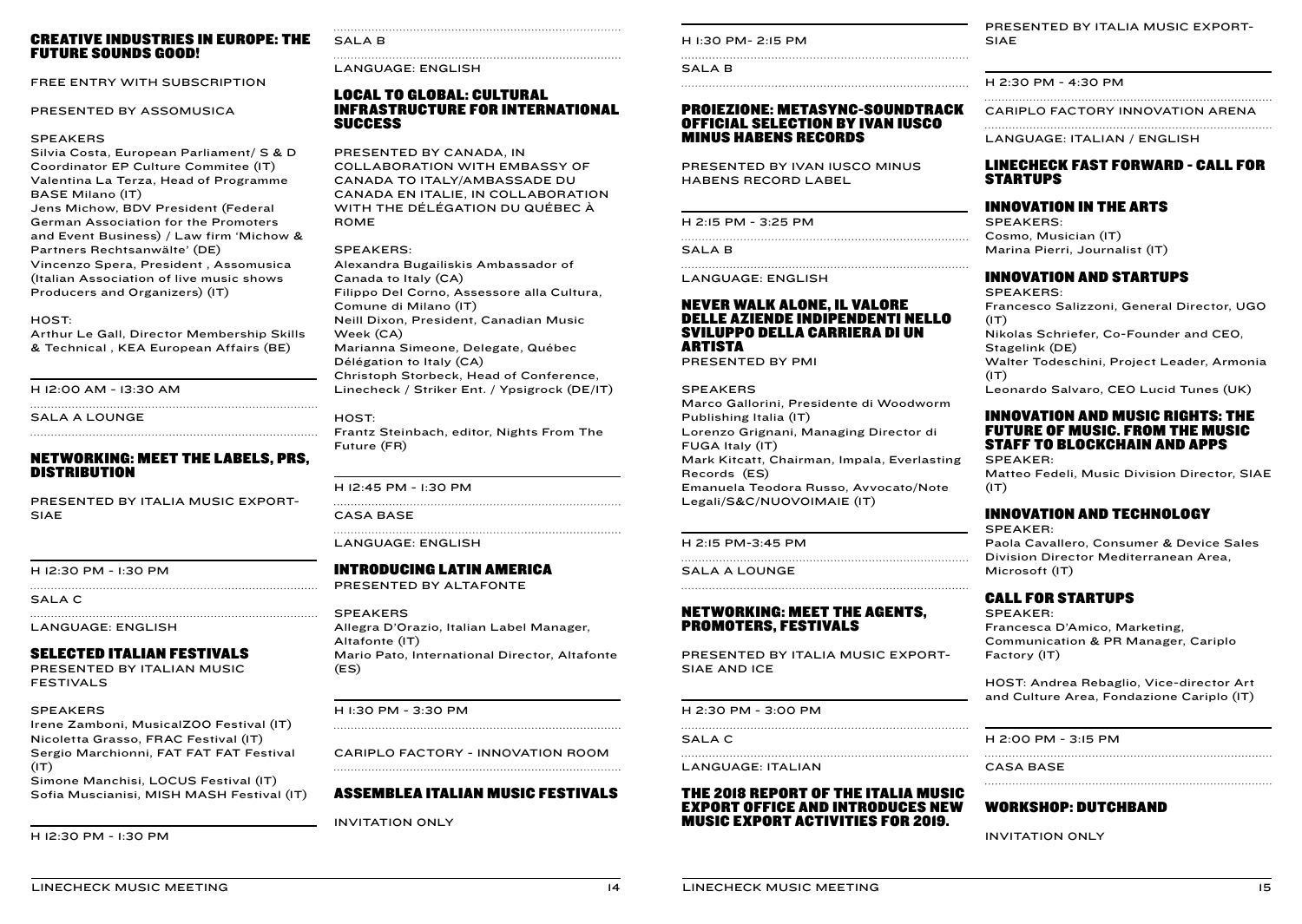#### CREATIVE INDUSTRIES IN EUROPE: THE FUTURE SOUNDS GOOD!

FREE ENTRY WITH SUBSCRIPTION

PRESENTED BY ASSOMUSICA

#### **SPEAKERS**

Silvia Costa, European Parliament/ S & D Coordinator EP Culture Commitee (IT) Valentina La Terza, Head of Programme BASE Milano (IT) Jens Michow, BDV President (Federal German Association for the Promoters and Event Business) / Law firm 'Michow & Partners Rechtsanwälte' (DE) Vincenzo Spera, President , Assomusica (Italian Association of live music shows Producers and Organizers) (IT)

#### HOST:

Arthur Le Gall, Director Membership Skills & Technical , KEA European Affairs (BE)

H 12:00 AM - 13:30 AM

SALA A LOUNGE

#### NETWORKING: MEET THE LABELS, PRS, DISTRIBUTION

PRESENTED BY ITALIA MUSIC EXPORT-SIAE

H 12:30 PM - 1:30 PM

SALA C

LANGUAGE: ENGLISH

#### SELECTED ITALIAN FESTIVALS

PRESENTED BY ITALIAN MUSIC FESTIVALS

#### SPEAKERS

Irene Zamboni, MusicalZOO Festival (IT) Nicoletta Grasso, FRAC Festival (IT) Sergio Marchionni, FAT FAT FAT Festival  $(T)$ 

Simone Manchisi, LOCUS Festival (IT) Sofia Muscianisi, MISH MASH Festival (IT)

H 12:30 PM - 1:30 PM

#### SALA<sub>B</sub>

LANGUAGE: ENGLISH

#### LOCAL TO GLOBAL: CULTURAL INFRASTRUCTURE FOR INTERNATIONAL SUCCESS

#### PRESENTED BY CANADA, IN

COLLABORATION WITH EMBASSY OF CANADA TO ITALY/AMBASSADE DU CANADA EN ITALIE, IN COLLABORATION WITH THE DÉLÉGATION DU QUÉBEC À ROME

#### SPEAKERS:

Alexandra Bugailiskis Ambassador of Canada to Italy (CA) Filippo Del Corno, Assessore alla Cultura, Comune di Milano (IT) Neill Dixon, President, Canadian Music Week (CA) Marianna Simeone, Delegate, Québec Délégation to Italy (CA) Christoph Storbeck, Head of Conference, Linecheck / Striker Ent. / Ypsigrock (DE/IT)

#### HOST:

Frantz Steinbach, editor, Nights From The Future (FR)

#### H 12:45 PM - 1:30 PM

CASA BASE

LANGUAGE: ENGLISH

#### INTRODUCING LATIN AMERICA

PRESENTED BY ALTAFONTE

#### SPEAKERS

Allegra D'Orazio, Italian Label Manager, Altafonte (IT) Mario Pato, International Director, Altafonte (ES)

#### H 1:30 PM - 3:30 PM

CARIPLO FACTORY - INNOVATION ROOM 

#### ASSEMBLEA ITALIAN MUSIC FESTIVALS

INVITATION ONLY

H 1:30 PM- 2:15 PM

SALA B 

#### PROIEZIONE: METASYNC-SOUNDTRACK OFFICIAL SELECTION BY IVAN IUSCO MINUS HABENS RECORDS

PRESENTED BY IVAN IUSCO MINUS HABENS RECORD LABEL

|  |  |  |  |  | H 2:15 PM - 3:25 PM |  |
|--|--|--|--|--|---------------------|--|
|--|--|--|--|--|---------------------|--|

SALA<sub>B</sub>

LANGUAGE: ENGLISH

#### NEVER WALK ALONE, IL VALORE DELLE AZIENDE INDIPENDENTI NELLO SVILUPPO DELLA CARRIERA DI UN ARTISTA

PRESENTED BY PMI

#### SPEAKERS

Marco Gallorini, Presidente di Woodworm Publishing Italia (IT) Lorenzo Grignani, Managing Director di FUGA Italy (IT) Mark Kitcatt, Chairman, Impala, Everlasting Records (ES) Emanuela Teodora Russo, Avvocato/Note Legali/S&C/NUOVOIMAIE (IT)

H 2:15 PM-3:45 PM 

SALA A LOUNGE

#### NETWORKING: MEET THE AGENTS, PROMOTERS, FESTIVALS

PRESENTED BY ITALIA MUSIC EXPORT-SIAE AND ICE

#### H 2:30 PM - 3:00 PM

SALA C 

LANGUAGE: ITALIAN

#### THE 2018 REPORT OF THE ITALIA MUSIC EXPORT OFFICE AND INTRODUCES NEW MUSIC EXPORT ACTIVITIES FOR 2019.

PRESENTED BY ITALIA MUSIC EXPORT-SIAE

H 2:30 PM - 4:30 PM

CARIPLO FACTORY INNOVATION ARENA 

LANGUAGE: ITALIAN / ENGLISH

#### LINECHECK FAST FORWARD - CALL FOR STARTUPS

#### INNOVATION IN THE ARTS

SPEAKERS: Cosmo, Musician (IT) Marina Pierri, Journalist (IT)

#### INNOVATION AND STARTUPS

SPEAKERS: Francesco Salizzoni, General Director, UGO  $(1T)$ Nikolas Schriefer, Co-Founder and CEO, Stagelink (DE) Walter Todeschini, Project Leader, Armonia  $(IT)$ Leonardo Salvaro, CEO Lucid Tunes (UK)

#### INNOVATION AND MUSIC RIGHTS: THE FUTURE OF MUSIC. FROM THE MUSIC STAFF TO BLOCKCHAIN AND APPS SPEAKER:

Matteo Fedeli, Music Division Director, SIAE  $(IT)$ 

#### INNOVATION AND TECHNOLOGY

SPEAKER:

Paola Cavallero, Consumer & Device Sales Division Director Mediterranean Area, Microsoft (IT)

#### CALL FOR STARTUPS

SPEAKER: Francesca D'Amico, Marketing, Communication & PR Manager, Cariplo Factory (IT)

HOST: Andrea Rebaglio, Vice-director Art and Culture Area, Fondazione Cariplo (IT)

H 2:00 PM - 3:15 PM

CASA BASE

#### WORKSHOP: DUTCHBAND

INVITATION ONLY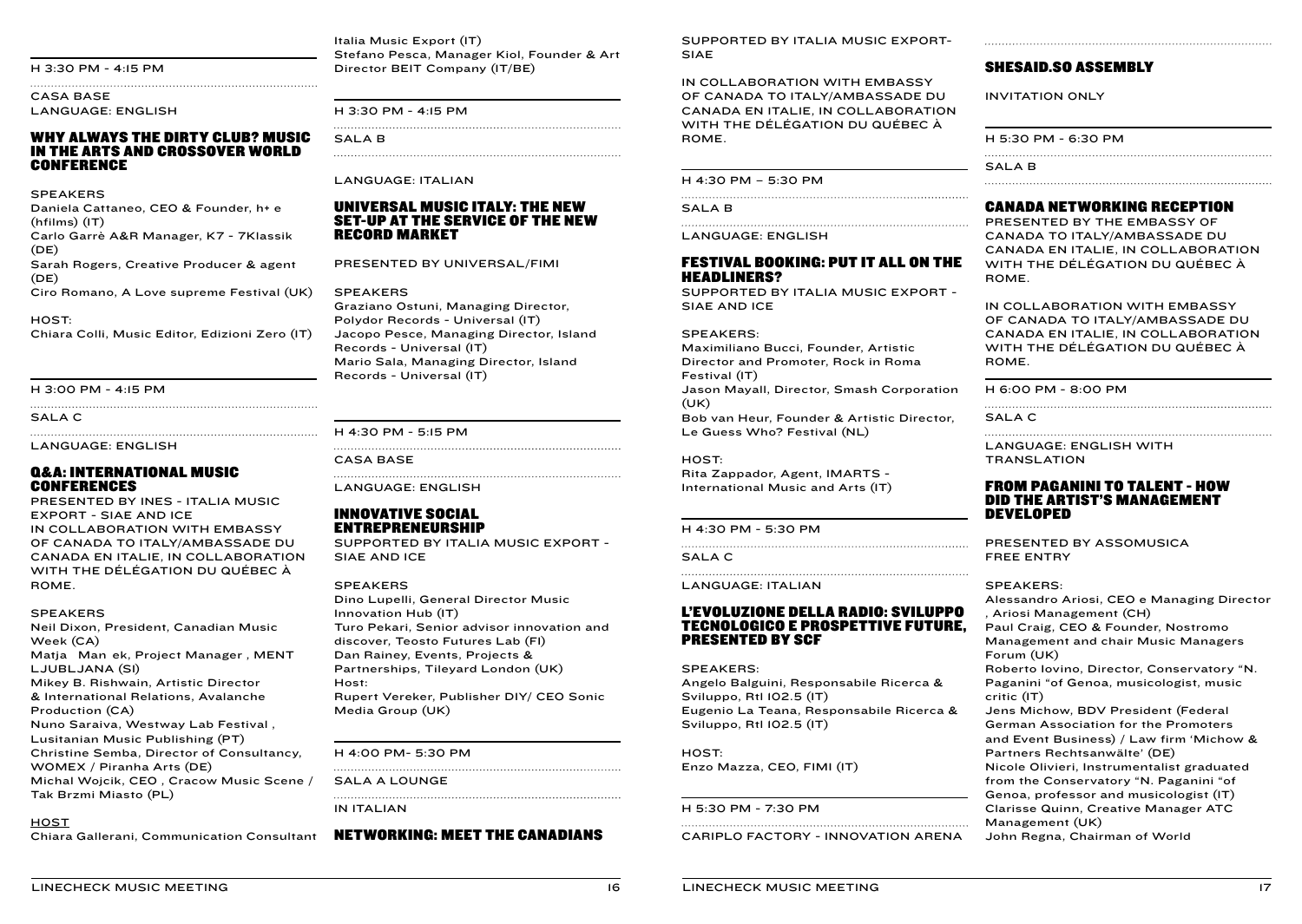#### H 3:30 PM - 4:15 PM

CASA BASE LANGUAGE: ENGLISH

#### WHY ALWAYS THE DIRTY CLUB? MUSIC IN THE ARTS AND CROSSOVER WORLD CONFERENCE

**SPEAKERS** 

Daniela Cattaneo, CEO & Founder, h+ e (hfilms) (IT) Carlo Garrè A&R Manager, K7 - 7Klassik  $(DE)$ Sarah Rogers, Creative Producer & agent (DE)

Ciro Romano, A Love supreme Festival (UK)

#### HOST:

Chiara Colli, Music Editor, Edizioni Zero (IT)

H 3:00 PM - 4:15 PM

SALA C

LANGUAGE: ENGLISH

#### Q&A: INTERNATIONAL MUSIC CONFERENCES

PRESENTED BY INES - ITALIA MUSIC EXPORT - SIAE AND ICE IN COLLABORATION WITH EMBASSY OF CANADA TO ITALY/AMBASSADE DU CANADA EN ITALIE, IN COLLABORATION WITH THE DÉLÉGATION DU QUÉBEC À ROME.

#### SPEAKERS

Neil Dixon, President, Canadian Music Week (CA) Matja Man ek, Project Manager, MENT LJUBLJANA (SI) Mikey B. Rishwain, Artistic Director & International Relations, Avalanche Production (CA) Nuno Saraiva, Westway Lab Festival , Lusitanian Music Publishing (PT) Christine Semba, Director of Consultancy, WOMEX / Piranha Arts (DE) Michal Wojcik, CEO , Cracow Music Scene / Tak Brzmi Miasto (PL)

#### **HOST**

Chiara Gallerani, Communication Consultant

Italia Music Export (IT) Stefano Pesca, Manager Kiol, Founder & Art Director BEIT Company (IT/BE)

H 3:30 PM - 4:15 PM

SALA B

#### LANGUAGE: ITALIAN

#### UNIVERSAL MUSIC ITALY: THE NEW SET-UP AT THE SERVICE OF THE NEW RECORD MARKET

PRESENTED BY UNIVERSAL/FIMI

#### SPEAKERS

Graziano Ostuni, Managing Director, Polydor Records - Universal (IT) Jacopo Pesce, Managing Director, Island Records - Universal (IT) Mario Sala, Managing Director, Island Records - Universal (IT)

#### H 4:30 PM - 5:15 PM

#### CASA BASE

LANGUAGE: ENGLISH

#### INNOVATIVE SOCIAL ENTREPRENEURSHIP

SUPPORTED BY ITALIA MUSIC EXPORT - SIAE AND ICE

#### SPEAKERS

Dino Lupelli, General Director Music Innovation Hub (IT) Turo Pekari, Senior advisor innovation and discover, Teosto Futures Lab (FI) Dan Rainey, Events, Projects & Partnerships, Tileyard London (UK) Host: Rupert Vereker, Publisher DIY/ CEO Sonic Media Group (UK)

H 4:00 PM- 5:30 PM

SALA A LOUNGE

IN ITALIAN

#### NETWORKING: MEET THE CANADIANS

SUPPORTED BY ITALIA MUSIC EXPORT-SIAE

IN COLLABORATION WITH EMBASSY OF CANADA TO ITALY/AMBASSADE DU CANADA EN ITALIE, IN COLLABORATION WITH THE DÉLÉGATION DU QUÉBEC À ROME.

H 4:30 PM – 5:30 PM

SALA B

LANGUAGE: ENGLISH

FESTIVAL BOOKING: PUT IT ALL ON THE HEADLINERS?

SUPPORTED BY ITALIA MUSIC EXPORT - SIAE AND ICE

#### SPEAKERS:

Maximiliano Bucci, Founder, Artistic Director and Promoter, Rock in Roma Festival (IT)

Jason Mayall, Director, Smash Corporation (UK)

Bob van Heur, Founder & Artistic Director, Le Guess Who? Festival (NL)

#### HOST:

Rita Zappador, Agent, IMARTS - International Music and Arts (IT)

#### H 4:30 PM - 5:30 PM

SALA C

LANGUAGE: ITALIAN

#### L'EVOLUZIONE DELLA RADIO: SVILUPPO TECNOLOGICO E PROSPETTIVE FUTURE, PRESENTED BY SCF

#### SPEAKERS:

Angelo Balguini, Responsabile Ricerca & Sviluppo, Rtl 102.5 (IT) Eugenio La Teana, Responsabile Ricerca & Sviluppo, Rtl 102.5 (IT)

HOST: Enzo Mazza, CEO, FIMI (IT)

#### H 5:30 PM - 7:30 PM

CARIPLO FACTORY - INNOVATION ARENA

#### SHESAID.SO ASSEMBLY

INVITATION ONLY

| H 5:30 PM - 6:30 PM |
|---------------------|
| <b>SALAB</b>        |

#### CANADA NETWORKING RECEPTION

PRESENTED BY THE EMBASSY OF CANADA TO ITALY/AMBASSADE DU CANADA EN ITALIE, IN COLLABORATION WITH THE DÉLÉGATION DU QUÉBEC À ROME.

IN COLLABORATION WITH EMBASSY OF CANADA TO ITALY/AMBASSADE DU CANADA EN ITALIE, IN COLLABORATION WITH THE DÉLÉGATION DU QUÉBEC À ROME.

H 6:00 PM - 8:00 PM

SALA C

LANGUAGE: ENGLISH WITH TRANSLATION

#### FROM PAGANINI TO TALENT - HOW DID THE ARTIST'S MANAGEMENT DEVELOPED

PRESENTED BY ASSOMUSICA FREE ENTRY

#### SPEAKERS:

Alessandro Ariosi, CEO e Managing Director , Ariosi Management (CH) Paul Craig, CEO & Founder, Nostromo Management and chair Music Managers Forum (UK) Roberto Iovino, Director, Conservatory "N. Paganini "of Genoa, musicologist, music critic (IT) Jens Michow, BDV President (Federal German Association for the Promoters and Event Business) / Law firm 'Michow & Partners Rechtsanwälte' (DE) Nicole Olivieri, Instrumentalist graduated from the Conservatory "N. Paganini "of Genoa, professor and musicologist (IT) Clarisse Quinn, Creative Manager ATC

Management (UK) John Regna, Chairman of World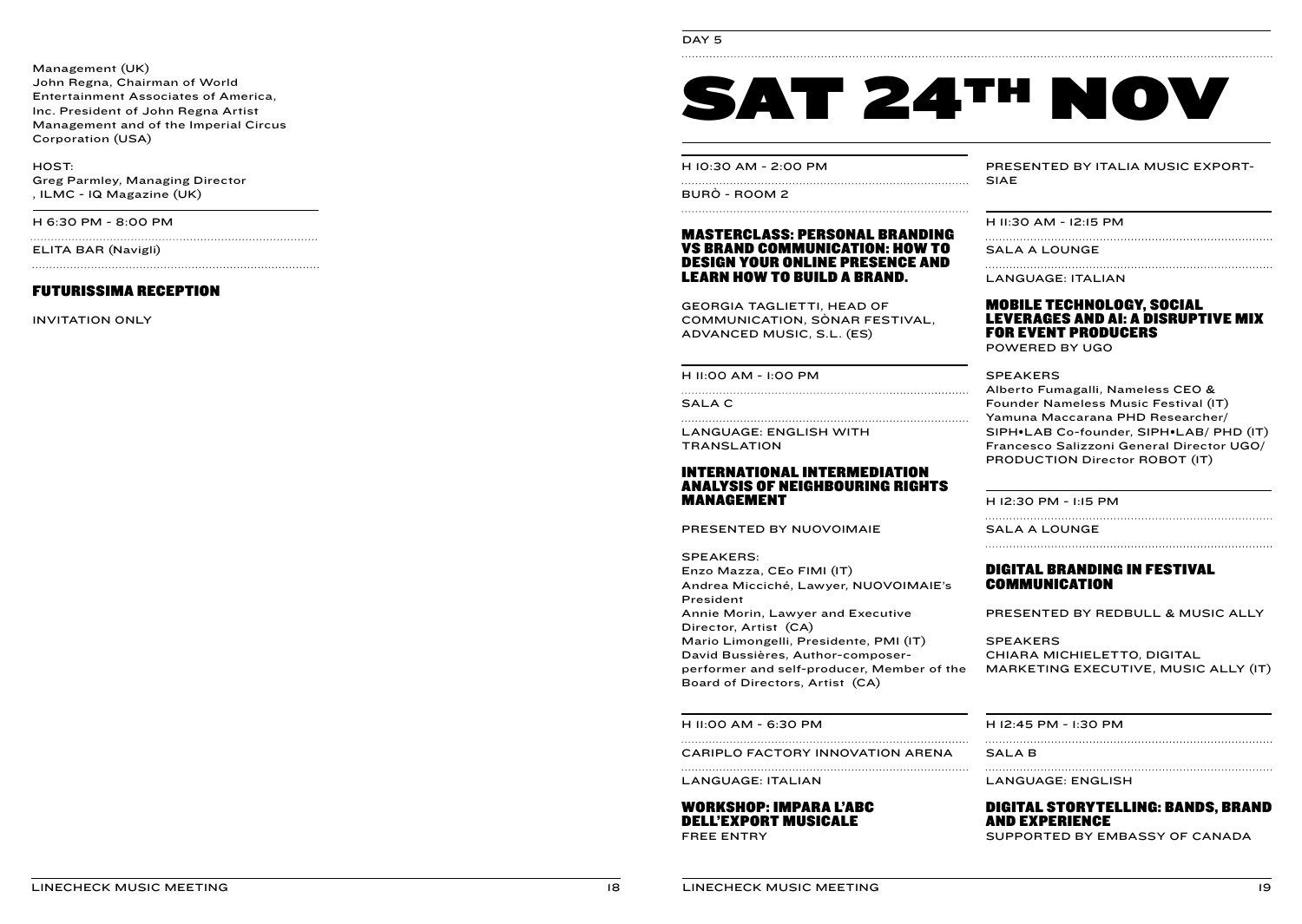Management (UK) John Regna, Chairman of World Entertainment Associates of America, Inc. President of John Regna Artist Management and of the Imperial Circus Corporation (USA)

HOST: Greg Parmley, Managing Director , ILMC - IQ Magazine (UK)

H 6:30 PM - 8:00 PM

ELITA BAR (Navigli)

#### FUTURISSIMA RECEPTION

INVITATION ONLY

#### DAY<sub>5</sub>

# SAT 24TH NOV

H 10:30 AM - 2:00 PM

BURÒ - ROOM 2

#### MASTERCLASS: PERSONAL BRANDING VS BRAND COMMUNICATION: HOW TO DESIGN YOUR ONLINE PRESENCE AND LEARN HOW TO BUILD A BRAND.

GEORGIA TAGLIETTI, HEAD OF COMMUNICATION, SÒNAR FESTIVAL, ADVANCED MUSIC, S.L. (ES)

H 11:00 AM - 1:00 PM

SALA C

LANGUAGE: ENGLISH WITH **TRANSLATION** 

#### INTERNATIONAL INTERMEDIATION ANALYSIS OF NEIGHBOURING RIGHTS MANAGEMENT

PRESENTED BY NUOVOIMAIE

SPEAKERS: Enzo Mazza, CEo FIMI (IT) Andrea Micciché, Lawyer, NUOVOIMAIE's President Annie Morin, Lawyer and Executive Director, Artist (CA) Mario Limongelli, Presidente, PMI (IT) David Bussières, Author-composerperformer and self-producer, Member of the Board of Directors, Artist (CA)

H 11:00 AM - 6:30 PM

CARIPLO FACTORY INNOVATION ARENA

LANGUAGE: ITALIAN

#### WORKSHOP: IMPARA L'ABC DELL'EXPORT MUSICALE

FREE ENTRY

PRESENTED BY ITALIA MUSIC EXPORT-SIAE

H 11:30 AM - 12:15 PM

SALA A LOUNGE

LANGUAGE: ITALIAN

#### MOBILE TECHNOLOGY, SOCIAL LEVERAGES AND AI: A DISRUPTIVE MIX FOR EVENT PRODUCERS

POWERED BY UGO

SPEAKERS

Alberto Fumagalli, Nameless CEO & Founder Nameless Music Festival (IT) Yamuna Maccarana PHD Researcher/ SIPH•LAB Co-founder, SIPH•LAB/ PHD (IT) Francesco Salizzoni General Director UGO/ PRODUCTION Director ROBOT (IT)

H 12:30 PM - 1:15 PM

SALA A LOUNGE

#### DIGITAL BRANDING IN FESTIVAL COMMUNICATION

PRESENTED BY REDBULL & MUSIC ALLY

SPEAKERS CHIARA MICHIELETTO, DIGITAL MARKETING EXECUTIVE, MUSIC ALLY (IT)

H 12:45 PM - 1:30 PM

SALA B

LANGUAGE: ENGLISH

#### DIGITAL STORYTELLING: BANDS, BRAND AND EXPERIENCE

SUPPORTED BY EMBASSY OF CANADA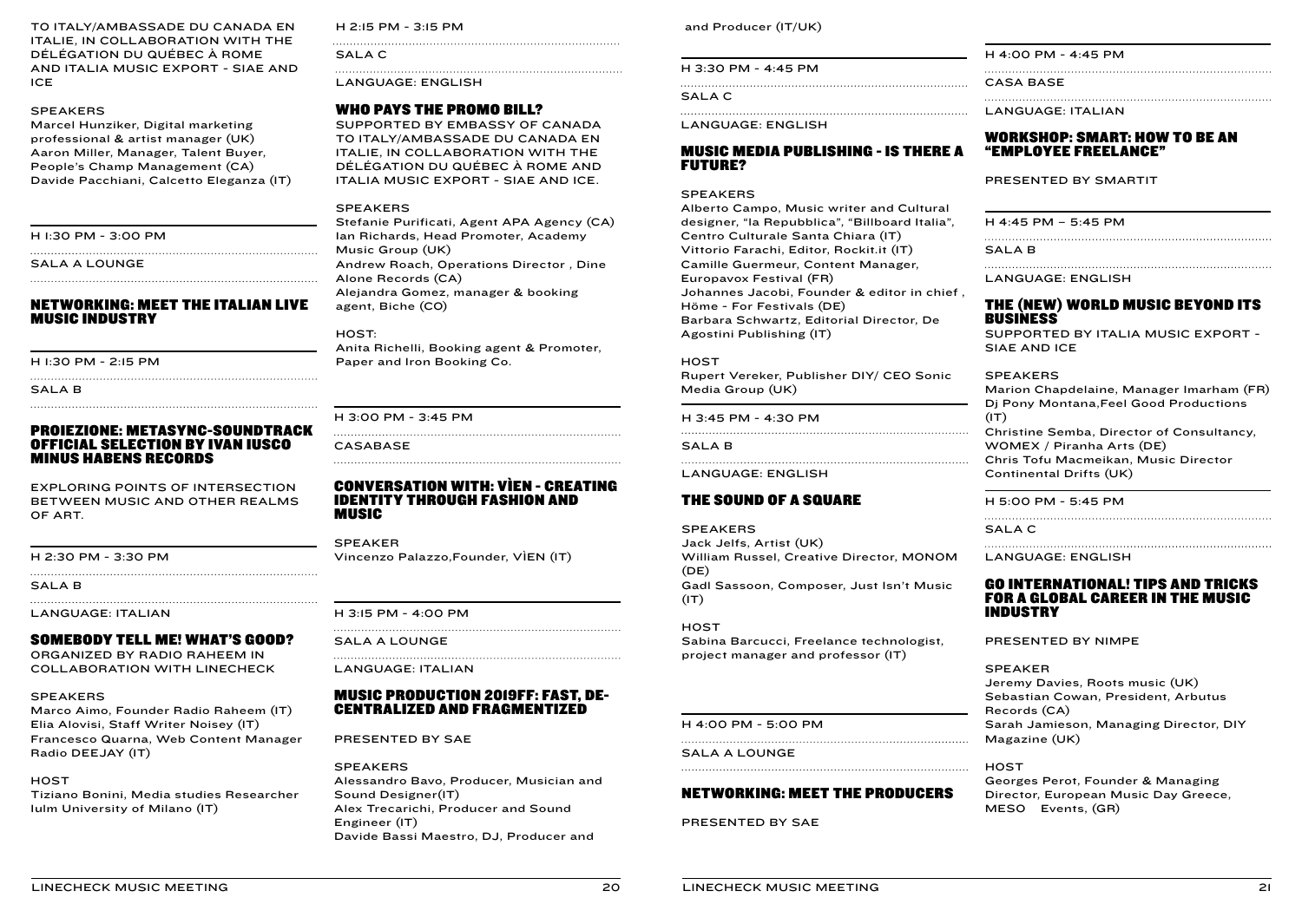TO ITALY/AMBASSADE DU CANADA EN ITALIE, IN COLLABORATION WITH THE DÉLÉGATION DU QUÉBEC À ROME AND ITALIA MUSIC EXPORT - SIAE AND ICE

#### SPEAKERS

Marcel Hunziker, Digital marketing professional & artist manager (UK) Aaron Miller, Manager, Talent Buyer, People's Champ Management (CA) Davide Pacchiani, Calcetto Eleganza (IT)

H 1:30 PM - 3:00 PM

SALA A LOUNGE

#### NETWORKING: MEET THE ITALIAN LIVE MUSIC INDUSTRY

H 1:30 PM - 2:15 PM

SALA<sub>B</sub>

#### PROIEZIONE: METASYNC-SOUNDTRACK OFFICIAL SELECTION BY IVAN IUSCO MINUS HABENS RECORDS

EXPLORING POINTS OF INTERSECTION BETWEEN MUSIC AND OTHER REALMS OF ART.

#### H 2:30 PM - 3:30 PM

SALA B

LANGUAGE: ITALIAN

#### SOMEBODY TELL ME! WHAT'S GOOD?

ORGANIZED BY RADIO RAHEEM IN COLLABORATION WITH LINECHECK

#### SPEAKERS

Marco Aimo, Founder Radio Raheem (IT) Elia Alovisi, Staff Writer Noisey (IT) Francesco Quarna, Web Content Manager Radio DEEJAY (IT)

#### **HOST**

Tiziano Bonini, Media studies Researcher Iulm University of Milano (IT)

H 2:15 PM - 3:15 PM

SALA C

LANGUAGE: ENGLISH

#### WHO PAYS THE PROMO BILL?

SUPPORTED BY EMBASSY OF CANADA TO ITALY/AMBASSADE DU CANADA EN ITALIE, IN COLLABORATION WITH THE DÉLÉGATION DU QUÉBEC À ROME AND ITALIA MUSIC EXPORT - SIAE AND ICE.

#### SPEAKERS

Stefanie Purificati, Agent APA Agency (CA) Ian Richards, Head Promoter, Academy Music Group (UK) Andrew Roach, Operations Director , Dine Alone Records (CA) Alejandra Gomez, manager & booking agent, Biche (CO)

HOST: Anita Richelli, Booking agent & Promoter, Paper and Iron Booking Co.

#### H 3:00 PM - 3:45 PM

CASABASE

#### CONVERSATION WITH: VÌEN - CREATING IDENTITY THROUGH FASHION AND MUSIC

SPEAKER Vincenzo Palazzo,Founder, VÌEN (IT)

H 3:15 PM - 4:00 PM

SALA A LOUNGE

LANGUAGE: ITALIAN

#### MUSIC PRODUCTION 2019FF: FAST, DE-CENTRALIZED AND FRAGMENTIZED

PRESENTED BY SAE

**SPEAKERS** Alessandro Bavo, Producer, Musician and Sound Designer(IT) Alex Trecarichi, Producer and Sound Engineer (IT) Davide Bassi Maestro, DJ, Producer and

and Producer (IT/UK)

#### H 3:30 PM - 4:45 PM

SALA C

LANGUAGE: ENGLISH

#### MUSIC MEDIA PUBLISHING - IS THERE A FUTURE?

#### **SPEAKERS**

Alberto Campo, Music writer and Cultural designer, "la Repubblica", "Billboard Italia", Centro Culturale Santa Chiara (IT) Vittorio Farachi, Editor, Rockit.it (IT) Camille Guermeur, Content Manager, Europavox Festival (FR) Johannes Jacobi, Founder & editor in chief , Höme - For Festivals (DE) Barbara Schwartz, Editorial Director, De Agostini Publishing (IT)

**HOST** 

Rupert Vereker, Publisher DIY/ CEO Sonic Media Group (UK)

H 3:45 PM - 4:30 PM

#### SALA B

LANGUAGE: ENGLISH

#### THE SOUND OF A SQUARE

SPEAKERS

Jack Jelfs, Artist (UK) William Russel, Creative Director, MONOM  $(DE)$ Gadl Sassoon, Composer, Just Isn't Music  $(IT)$ 

#### **HOST**

Sabina Barcucci, Freelance technologist, project manager and professor (IT)

H 4:00 PM - 5:00 PM

SALA A LOUNGE

#### NETWORKING: MEET THE PRODUCERS

PRESENTED BY SAE

H 4:00 PM - 4:45 PM

CASA BASE

LANGUAGE: ITALIAN

#### WORKSHOP: SMART: HOW TO BE AN "EMPLOYEE FREELANCE"

PRESENTED BY SMARTIT

H 4:45 PM – 5:45 PM

SALA B

LANGUAGE: ENGLISH

#### THE (NEW) WORLD MUSIC BEYOND ITS BUSINESS

SUPPORTED BY ITALIA MUSIC EXPORT - SIAE AND ICE

#### SPEAKERS

Marion Chapdelaine, Manager Imarham (FR) Dj Pony Montana,Feel Good Productions  $(1T)$ Christine Semba, Director of Consultancy, WOMEX / Piranha Arts (DE) Chris Tofu Macmeikan, Music Director Continental Drifts (UK)

H 5:00 PM - 5:45 PM

SALA C

LANGUAGE: ENGLISH

#### GO INTERNATIONAL! TIPS AND TRICKS FOR A GLOBAL CAREER IN THE MUSIC INDUSTRY

PRESENTED BY NIMPE

#### SPEAKER

Jeremy Davies, Roots music (UK) Sebastian Cowan, President, Arbutus Records (CA) Sarah Jamieson, Managing Director, DIY Magazine (UK)

**HOST** 

Georges Perot, Founder & Managing Director, European Music Day Greece, MESO Events, (GR)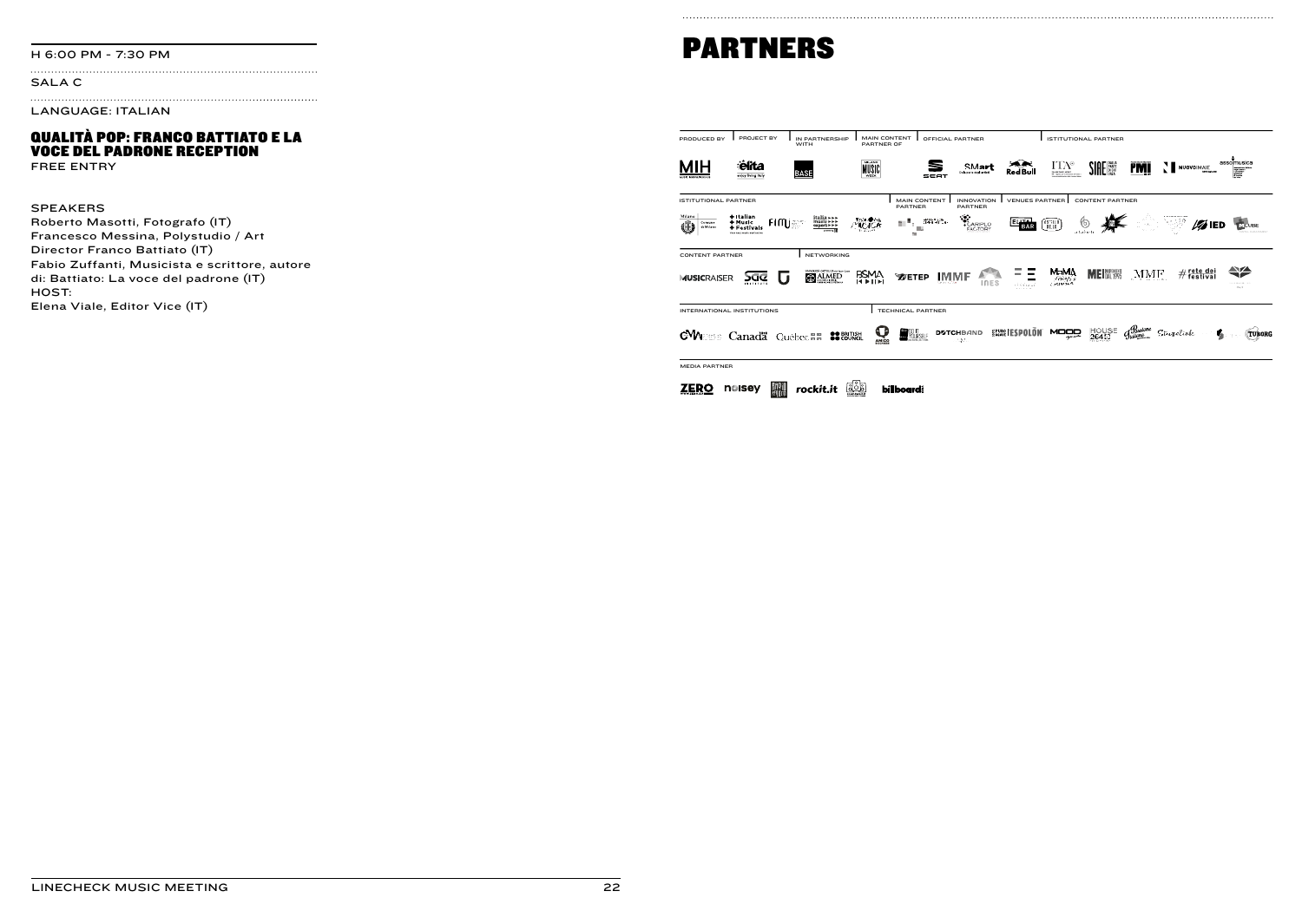#### SALA C

LANGUAGE: ITALIAN

#### QUALITÀ POP: FRANCO BATTIATO E LA VOCE DEL PADRONE RECEPTION

FREE ENTRY

#### SPEAKERS

Roberto Masotti, Fotografo (IT) Francesco Messina, Polystudio / Art Director Franco Battiato (IT) Fabio Zuffanti, Musicista e scrittore, autore di: Battiato: La voce del padrone (IT) HOST: Elena Viale, Editor Vice (IT)

# H 6:00 PM - 7:30 PM **PARTNERS**

| PROJECT BY<br>PRODUCED BY                                                                                                     | IN PARTNERSHIP<br>WITH                        | <b>MAIN CONTENT</b><br>PARTNER OF                 | OFFICIAL PARTNER          |                                     |                          | <b>ISTITUTIONAL PARTNER</b>             |                        |                                                                                                 |                   |                                            |
|-------------------------------------------------------------------------------------------------------------------------------|-----------------------------------------------|---------------------------------------------------|---------------------------|-------------------------------------|--------------------------|-----------------------------------------|------------------------|-------------------------------------------------------------------------------------------------|-------------------|--------------------------------------------|
| elita<br>enjoy living tray                                                                                                    | <b>BASE</b>                                   | MILANO<br>MUSIC<br><b>WEEK</b>                    | SEAT                      | SMart<br>Data code decirantisti     | یج هر<br><b>Red Bull</b> | $\frac{\Gamma\Gamma A^{\circ}}{\Gamma}$ | <b>SIAE NEW</b>        | <b>PMI</b>                                                                                      | NUOVOJMAJE        | assolmusica                                |
| <b>ISTITUTIONAL PARTNER</b>                                                                                                   |                                               | PARTNER                                           | <b>MAIN CONTENT</b>       | <b>INNOVATION</b><br><b>PARTNER</b> | <b>VENUES PARTNER</b>    |                                         | <b>CONTENT PARTNER</b> |                                                                                                 |                   |                                            |
| $+$ Italian<br>Milano<br><b>Fimisson</b><br>+ Music<br>Œ<br>Comune<br>di Milano<br>+ Festivals<br>Your next music destination | italia - - -<br>music - - - -<br>export - - - | <b>Form Brink</b><br>おきし<br>m                     | 提供金庫<br>m.                | ≪<br>CARIPLO<br>FACTORY             | <b>BAR</b>               | (Tau)                                   |                        |                                                                                                 | $\mathscr{D}$ ied | COUBE<br><b>GTALD-GASEMENT</b>             |
| <b>CONTENT PARTNER</b>                                                                                                        | <b>NETWORKING</b>                             |                                                   |                           |                                     |                          |                                         |                        |                                                                                                 |                   |                                            |
| <b>MUSICRAISER</b><br>>ac<br>. .<br><b><i>BATHTETT</i></b>                                                                    | LNAERSEA CATTOLICA annuo tuos<br>C ALMED      | <b>BSMA</b><br><b>WETEP</b><br><b>HELL</b>        | IMMF                      | <b>INES</b>                         |                          | МЫМД<br>50005<br>Couring                | <b>ME DAL 1995</b>     | MMF                                                                                             | $#$ rete dei      | ⇔<br>$1 - 1 + 1 + 1 +  + 1$<br><b>CALL</b> |
| INTERNATIONAL INSTITUTIONS                                                                                                    |                                               | TECHNICAL PARTNER                                 |                           |                                     |                          |                                         |                        |                                                                                                 |                   |                                            |
| <b>CVV</b> EES Canada Québec##                                                                                                | <b>22 BRITISH</b>                             | <b><i>DO</i></b> VOIRSELF<br>$\tilde{\mathbf{c}}$ | <b>D2TCHBAND</b><br>1.37. |                                     | <b>SACKRETESPOLON</b>    | <b>MOOD</b>                             | HOUSE<br>26453         | $g_{\text{\tiny{t}}\text{\tiny{a}}\text{\tiny{t}}\text{\tiny{a}}\text{\tiny{t}}\text{\tiny{a}}$ | Stugelink         | <b>TUBORG</b>                              |
| <b>MEDIA PARTNER</b>                                                                                                          |                                               |                                                   |                           |                                     |                          |                                         |                        |                                                                                                 |                   |                                            |
| noisey                                                                                                                        | rockit.it                                     | <u> 55</u><br><b>billboard</b>                    |                           |                                     |                          |                                         |                        |                                                                                                 |                   |                                            |